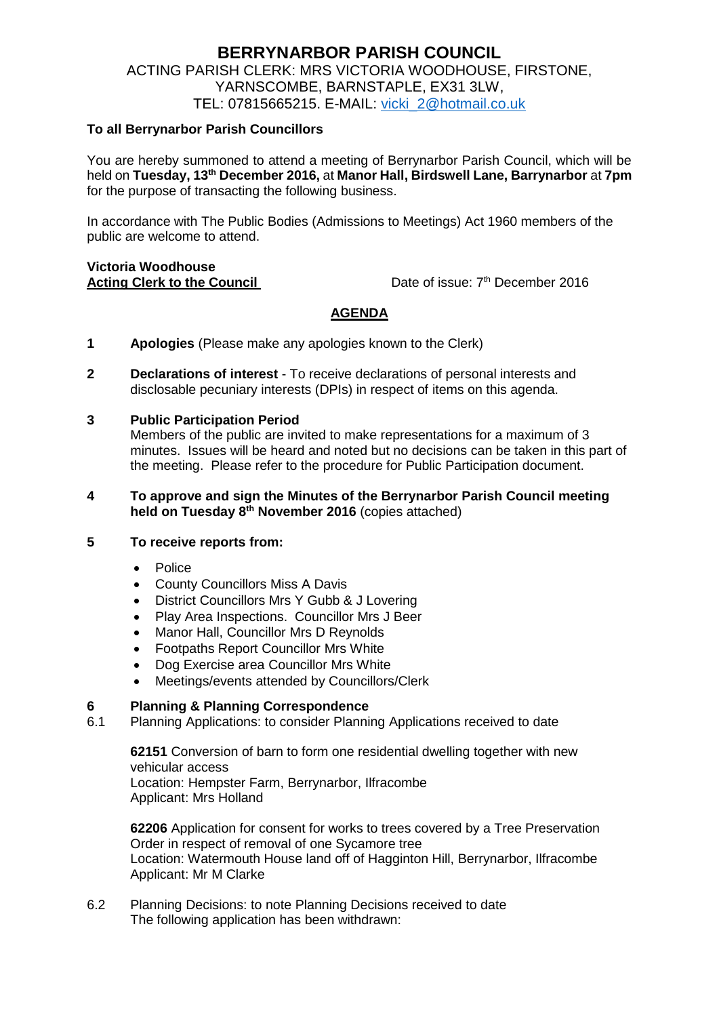# **BERRYNARBOR PARISH COUNCIL** ACTING PARISH CLERK: MRS VICTORIA WOODHOUSE, FIRSTONE, YARNSCOMBE, BARNSTAPLE, EX31 3LW, TEL: 07815665215. E-MAIL: [vicki\\_2@hotmail.co.uk](mailto:vicki_2@hotmail.co.uk)

# **To all Berrynarbor Parish Councillors**

You are hereby summoned to attend a meeting of Berrynarbor Parish Council, which will be held on **Tuesday, 13th December 2016,** at **Manor Hall, Birdswell Lane, Barrynarbor** at **7pm** for the purpose of transacting the following business.

In accordance with The Public Bodies (Admissions to Meetings) Act 1960 members of the public are welcome to attend.

#### **Victoria Woodhouse Acting Clerk to the Council**

Date of issue: 7<sup>th</sup> December 2016

# **AGENDA**

- **1 Apologies** (Please make any apologies known to the Clerk)
- **2 Declarations of interest**  To receive declarations of personal interests and disclosable pecuniary interests (DPIs) in respect of items on this agenda.

# **3 Public Participation Period**

Members of the public are invited to make representations for a maximum of 3 minutes. Issues will be heard and noted but no decisions can be taken in this part of the meeting. Please refer to the procedure for Public Participation document.

### **4 To approve and sign the Minutes of the Berrynarbor Parish Council meeting held on Tuesday 8 th November 2016** (copies attached)

#### **5 To receive reports from:**

- · Police
- County Councillors Miss A Davis
- District Councillors Mrs Y Gubb & J Lovering
- Play Area Inspections. Councillor Mrs J Beer
- Manor Hall, Councillor Mrs D Reynolds
- Footpaths Report Councillor Mrs White
- Dog Exercise area Councillor Mrs White
- Meetings/events attended by Councillors/Clerk

# **6 Planning & Planning Correspondence**

6.1 Planning Applications: to consider Planning Applications received to date

**62151** Conversion of barn to form one residential dwelling together with new vehicular access Location: Hempster Farm, Berrynarbor, Ilfracombe Applicant: Mrs Holland

**62206** Application for consent for works to trees covered by a Tree Preservation Order in respect of removal of one Sycamore tree Location: Watermouth House land off of Hagginton Hill, Berrynarbor, Ilfracombe Applicant: Mr M Clarke

6.2 Planning Decisions: to note Planning Decisions received to date The following application has been withdrawn: